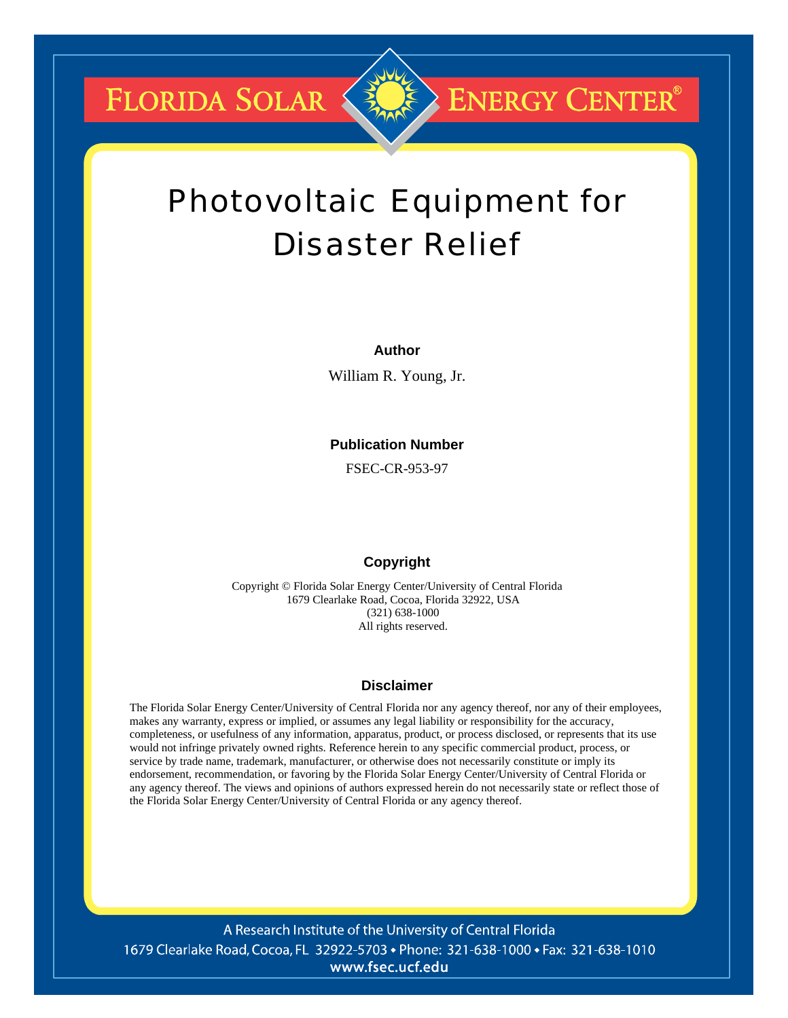FLORIDA SOLAR



## **ENERGY CENTER®**

# Photovoltaic Equipment for Disaster Relief

#### **Author**

William R. Young, Jr.

#### **Publication Number**

FSEC-CR-953-97

#### **Copyright**

Copyright © Florida Solar Energy Center/University of Central Florida 1679 Clearlake Road, Cocoa, Florida 32922, USA (321) 638-1000 All rights reserved.

#### **Disclaimer**

The Florida Solar Energy Center/University of Central Florida nor any agency thereof, nor any of their employees, makes any warranty, express or implied, or assumes any legal liability or responsibility for the accuracy, completeness, or usefulness of any information, apparatus, product, or process disclosed, or represents that its use would not infringe privately owned rights. Reference herein to any specific commercial product, process, or service by trade name, trademark, manufacturer, or otherwise does not necessarily constitute or imply its endorsement, recommendation, or favoring by the Florida Solar Energy Center/University of Central Florida or any agency thereof. The views and opinions of authors expressed herein do not necessarily state or reflect those of the Florida Solar Energy Center/University of Central Florida or any agency thereof.

A Research Institute of the University of Central Florida 1679 Clearlake Road, Cocoa, FL 32922-5703 • Phone: 321-638-1000 • Fax: 321-638-1010 www.fsec.ucf.edu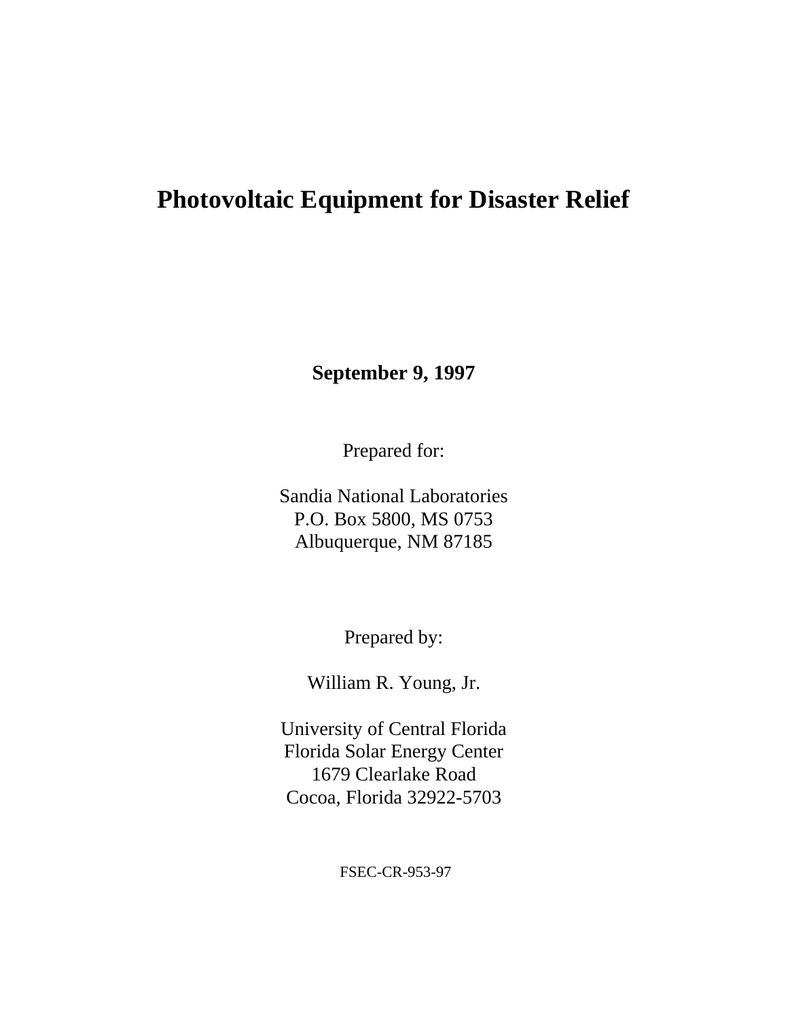### **Photovoltaic Equipment for Disaster Relief**

**September 9, 1997**

Prepared for:

Sandia National Laboratories P.O. Box 5800, MS 0753 Albuquerque, NM 87185

Prepared by:

William R. Young, Jr.

University of Central Florida Florida Solar Energy Center 1679 Clearlake Road Cocoa, Florida 32922-5703

FSEC-CR-953-97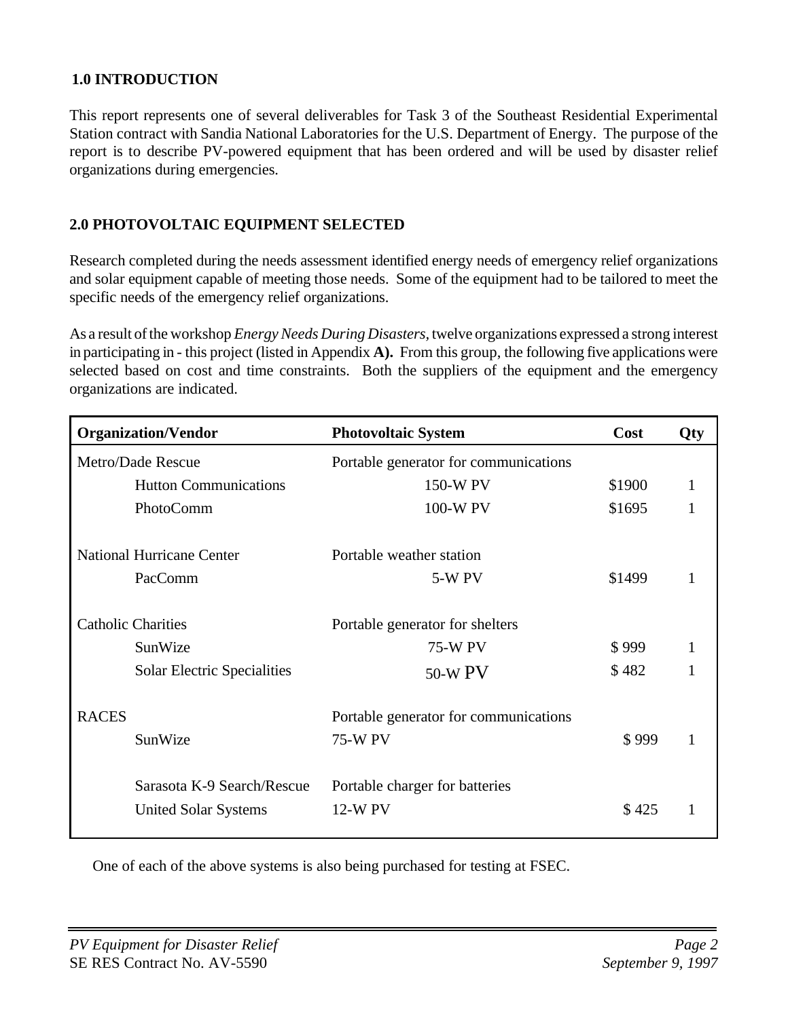#### **1.0 INTRODUCTION**

This report represents one of several deliverables for Task 3 of the Southeast Residential Experimental Station contract with Sandia National Laboratories for the U.S. Department of Energy. The purpose of the report is to describe PV-powered equipment that has been ordered and will be used by disaster relief organizations during emergencies.

#### **2.0 PHOTOVOLTAIC EQUIPMENT SELECTED**

Research completed during the needs assessment identified energy needs of emergency relief organizations and solar equipment capable of meeting those needs. Some of the equipment had to be tailored to meet the specific needs of the emergency relief organizations.

As a result ofthe workshop *EnergyNeeds During Disasters,* twelve organizations expressed a strong interest in participating in - this project (listed in Appendix **A).** From this group, the following five applications were selected based on cost and time constraints. Both the suppliers of the equipment and the emergency organizations are indicated.

|                   | <b>Organization/Vendor</b>         | <b>Photovoltaic System</b>            | Cost   | Qty |
|-------------------|------------------------------------|---------------------------------------|--------|-----|
| Metro/Dade Rescue |                                    | Portable generator for communications |        |     |
|                   | <b>Hutton Communications</b>       | 150-W PV                              | \$1900 | 1   |
|                   | PhotoComm                          | 100-W PV                              | \$1695 | 1   |
|                   | <b>National Hurricane Center</b>   | Portable weather station              |        |     |
|                   | PacComm                            | <b>5-W PV</b>                         | \$1499 | 1   |
|                   | <b>Catholic Charities</b>          | Portable generator for shelters       |        |     |
|                   | SunWize                            | <b>75-W PV</b>                        | \$999  |     |
|                   | <b>Solar Electric Specialities</b> | 50-W PV                               | \$482  | 1   |
| <b>RACES</b>      |                                    | Portable generator for communications |        |     |
|                   | SunWize                            | <b>75-W PV</b>                        | \$999  | 1   |
|                   | Sarasota K-9 Search/Rescue         | Portable charger for batteries        |        |     |
|                   | <b>United Solar Systems</b>        | 12-W PV                               | \$425  |     |

One of each of the above systems is also being purchased for testing at FSEC.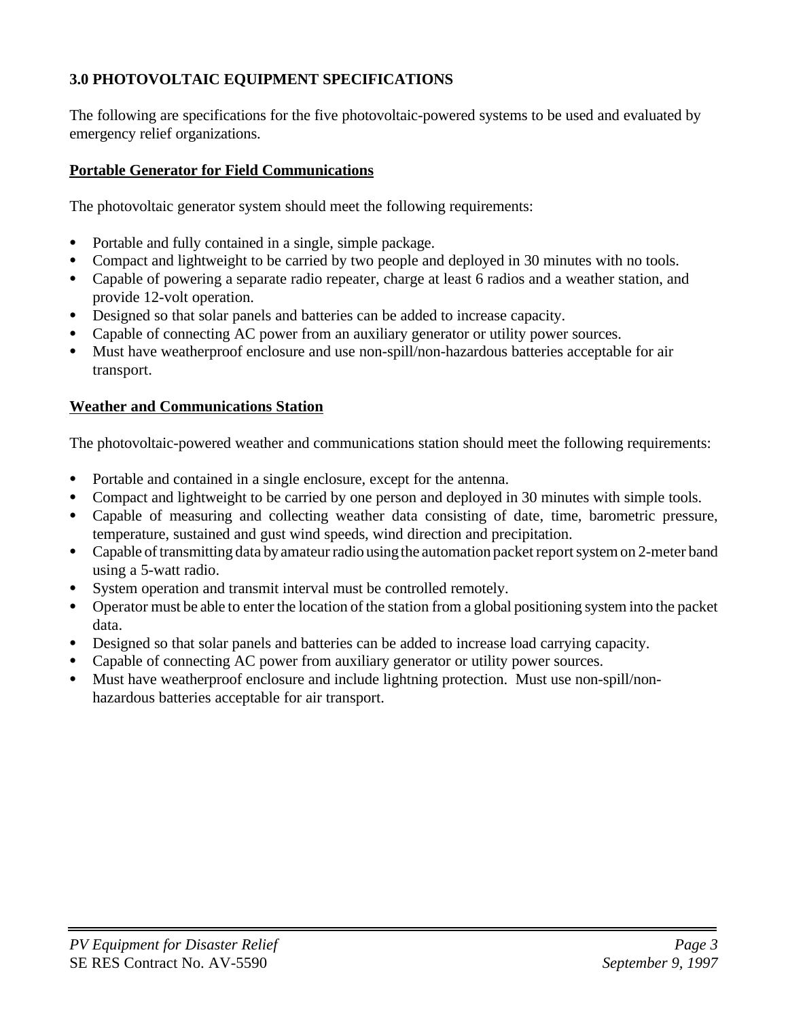### **3.0 PHOTOVOLTAIC EQUIPMENT SPECIFICATIONS**

The following are specifications for the five photovoltaic-powered systems to be used and evaluated by emergency relief organizations.

#### **Portable Generator for Field Communications**

The photovoltaic generator system should meet the following requirements:

- Portable and fully contained in a single, simple package.
- Compact and lightweight to be carried by two people and deployed in 30 minutes with no tools.
- Capable of powering a separate radio repeater, charge at least 6 radios and a weather station, and provide 12-volt operation.
- Designed so that solar panels and batteries can be added to increase capacity.
- Capable of connecting AC power from an auxiliary generator or utility power sources.
- Must have weatherproof enclosure and use non-spill/non-hazardous batteries acceptable for air transport.

#### **Weather and Communications Station**

The photovoltaic-powered weather and communications station should meet the following requirements:

- Portable and contained in a single enclosure, except for the antenna.
- Compact and lightweight to be carried by one person and deployed in 30 minutes with simple tools.
- Capable of measuring and collecting weather data consisting of date, time, barometric pressure, temperature, sustained and gust wind speeds, wind direction and precipitation.
- Capable of transmitting data by amateur radio using the automation packet report system on 2-meter band using a 5-watt radio.
- System operation and transmit interval must be controlled remotely.
- C Operator must be able to enter the location of the station from a global positioning system into the packet data.
- Designed so that solar panels and batteries can be added to increase load carrying capacity.
- Capable of connecting AC power from auxiliary generator or utility power sources.
- Must have weatherproof enclosure and include lightning protection. Must use non-spill/nonhazardous batteries acceptable for air transport.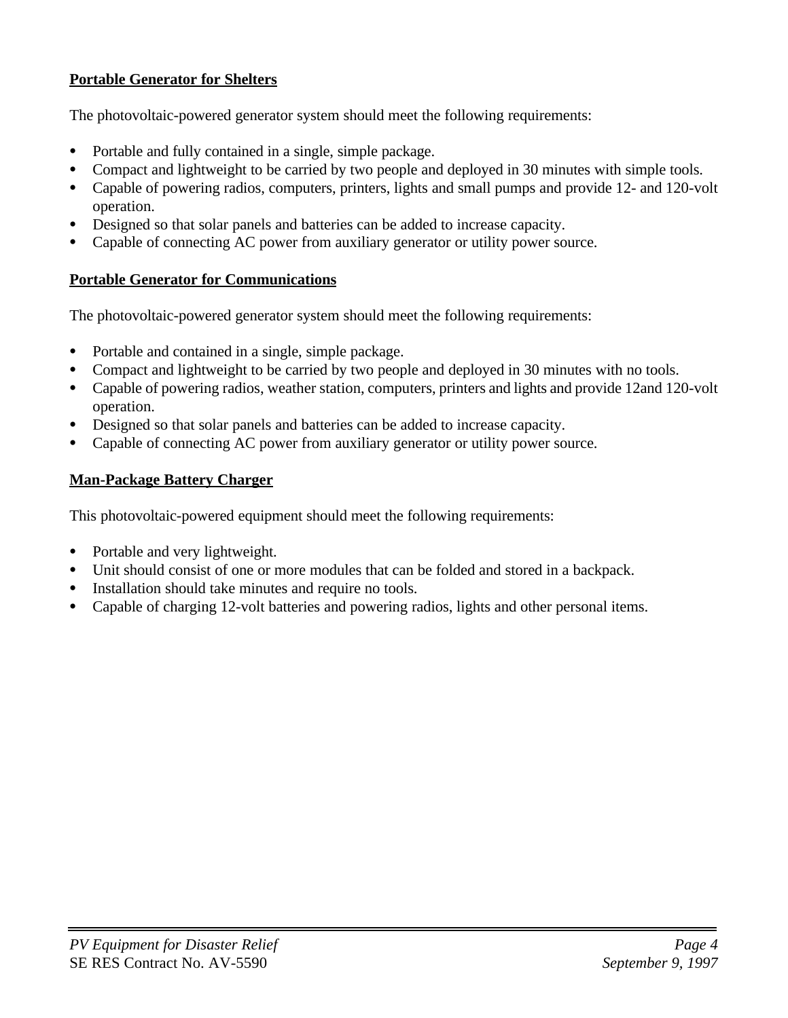#### **Portable Generator for Shelters**

The photovoltaic-powered generator system should meet the following requirements:

- Portable and fully contained in a single, simple package.
- Compact and lightweight to be carried by two people and deployed in 30 minutes with simple tools.
- Capable of powering radios, computers, printers, lights and small pumps and provide 12- and 120-volt operation.
- Designed so that solar panels and batteries can be added to increase capacity.
- Capable of connecting AC power from auxiliary generator or utility power source.

#### **Portable Generator for Communications**

The photovoltaic-powered generator system should meet the following requirements:

- Portable and contained in a single, simple package.
- Compact and lightweight to be carried by two people and deployed in 30 minutes with no tools.
- Capable of powering radios, weather station, computers, printers and lights and provide 12and 120-volt operation.
- Designed so that solar panels and batteries can be added to increase capacity.
- C Capable of connecting AC power from auxiliary generator or utility power source.

### **Man-Package Battery Charger**

This photovoltaic-powered equipment should meet the following requirements:

- Portable and very lightweight.
- Unit should consist of one or more modules that can be folded and stored in a backpack.
- Installation should take minutes and require no tools.
- C Capable of charging 12-volt batteries and powering radios, lights and other personal items.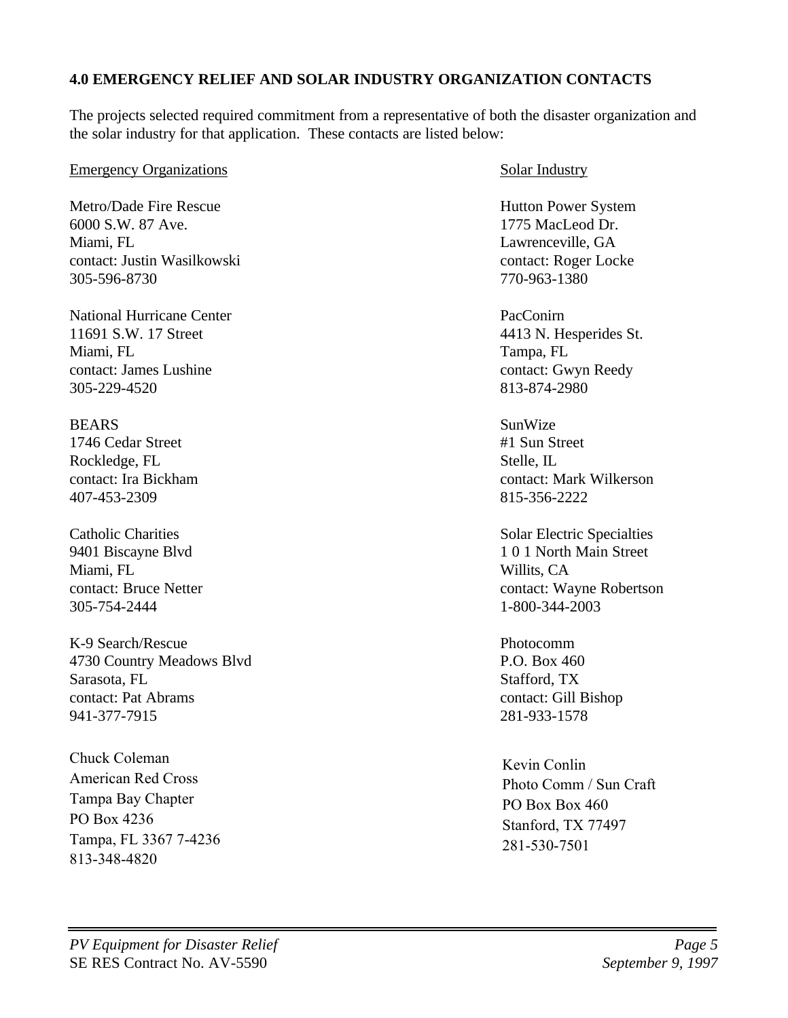#### **4.0 EMERGENCY RELIEF AND SOLAR INDUSTRY ORGANIZATION CONTACTS**

The projects selected required commitment from a representative of both the disaster organization and the solar industry for that application. These contacts are listed below:

#### Emergency Organizations Solar Industry

Metro/Dade Fire Rescue Hutton Power System 6000 S.W. 87 Ave. 1775 MacLeod Dr. Miami, FL 2008. The Contract of the Contract of Lawrenceville, GA contact: Justin Wasilkowski contact: Roger Locke 305-596-8730 770-963-1380

National Hurricane Center **Pacconic Pacconic PacConic** 11691 S.W. 17 Street 4413 N. Hesperides St. Miami, FL Tampa, FL Tampa, FL Tampa, FL Tampa, FL contact: James Lushine contact: Gwyn Reedy 305-229-4520 813-874-2980

BEARS SunWize 1746 Cedar Street #1 Sun Street Rockledge, FL Stelle, IL 407-453-2309 815-356-2222

Miami, FL Willits, CA 305-754-2444 1-800-344-2003

K-9 Search/Rescue Photocomm 4730 Country Meadows Blvd P.O. Box 460 Sarasota, FL Stafford, TX contact: Pat Abrams contact: Gill Bishop 941-377-7915 281-933-1578

Chuck Coleman American Red Cross Tampa Bay Chapter PO Box 4236 Tampa, FL 3367 7-4236 813-348-4820

contact: Ira Bickham contact: Mark Wilkerson

Catholic Charities Solar Electric Specialties 9401 Biscayne Blvd 1 0 1 North Main Street contact: Bruce Netter contact: Wayne Robertson

Kevin Conlin Photo Comm / Sun Craft PO Box Box 460 Stanford, TX 77497 281-530-7501